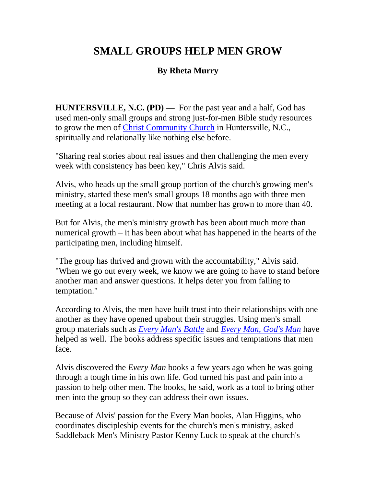## **SMALL GROUPS HELP MEN GROW**

## **By Rheta Murry**

**HUNTERSVILLE, N.C. (PD) —** For the past year and a half, God has used men-only small groups and strong just-for-men Bible study resources to grow the men of [Christ Community Church](http://www.christcommunity.cc/) in Huntersville, N.C., spiritually and relationally like nothing else before.

"Sharing real stories about real issues and then challenging the men every week with consistency has been key," Chris Alvis said.

Alvis, who heads up the small group portion of the church's growing men's ministry, started these men's small groups 18 months ago with three men meeting at a local restaurant. Now that number has grown to more than 40.

But for Alvis, the men's ministry growth has been about much more than numerical growth – it has been about what has happened in the hearts of the participating men, including himself.

"The group has thrived and grown with the accountability," Alvis said. "When we go out every week, we know we are going to have to stand before another man and answer questions. It helps deter you from falling to temptation."

According to Alvis, the men have built trust into their relationships with one another as they have opened upabout their struggles. Using men's small group materials such as *[Every Man's Battle](https://www.pastors.com/pcom/books/all_books.asp)* and *[Every Man, God's Man](https://www.pastors.com/pcom/books/all_books.asp)* have helped as well. The books address specific issues and temptations that men face.

Alvis discovered the *Every Man* books a few years ago when he was going through a tough time in his own life. God turned his past and pain into a passion to help other men. The books, he said, work as a tool to bring other men into the group so they can address their own issues.

Because of Alvis' passion for the Every Man books, Alan Higgins, who coordinates discipleship events for the church's men's ministry, asked Saddleback Men's Ministry Pastor Kenny Luck to speak at the church's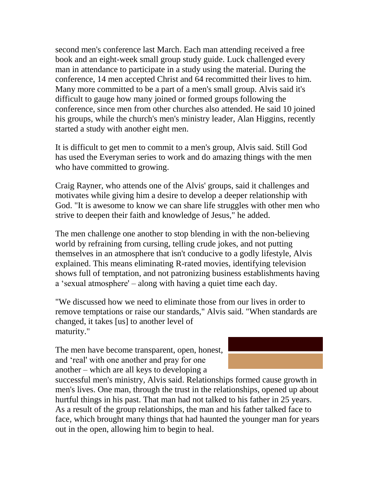second men's conference last March. Each man attending received a free book and an eight-week small group study guide. Luck challenged every man in attendance to participate in a study using the material. During the conference, 14 men accepted Christ and 64 recommitted their lives to him. Many more committed to be a part of a men's small group. Alvis said it's difficult to gauge how many joined or formed groups following the conference, since men from other churches also attended. He said 10 joined his groups, while the church's men's ministry leader, Alan Higgins, recently started a study with another eight men.

It is difficult to get men to commit to a men's group, Alvis said. Still God has used the Everyman series to work and do amazing things with the men who have committed to growing.

Craig Rayner, who attends one of the Alvis' groups, said it challenges and motivates while giving him a desire to develop a deeper relationship with God. "It is awesome to know we can share life struggles with other men who strive to deepen their faith and knowledge of Jesus," he added.

The men challenge one another to stop blending in with the non-believing world by refraining from cursing, telling crude jokes, and not putting themselves in an atmosphere that isn't conducive to a godly lifestyle, Alvis explained. This means eliminating R-rated movies, identifying television shows full of temptation, and not patronizing business establishments having a 'sexual atmosphere' – along with having a quiet time each day.

"We discussed how we need to eliminate those from our lives in order to remove temptations or raise our standards," Alvis said. "When standards are changed, it takes [us] to another level of maturity."

The men have become transparent, open, honest, and 'real' with one another and pray for one another – which are all keys to developing a

successful men's ministry, Alvis said. Relationships formed cause growth in men's lives. One man, through the trust in the relationships, opened up about hurtful things in his past. That man had not talked to his father in 25 years. As a result of the group relationships, the man and his father talked face to face, which brought many things that had haunted the younger man for years out in the open, allowing him to begin to heal.